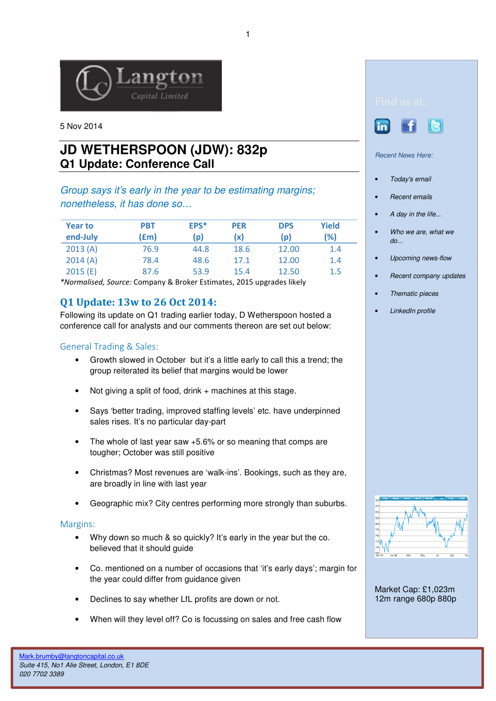

5 Nov 2014

# **JD WETHERSPOON (JDW): 832p Q1 Update: Conference Call**

## Group says it's early in the year to be estimating margins; nonetheless, it has done so…

| <b>Year to</b><br>end-July | <b>PBT</b><br>(£m) | EPS*<br>(p) | <b>PER</b><br>(x) | <b>DPS</b><br>(p) | Yield<br>(%) |
|----------------------------|--------------------|-------------|-------------------|-------------------|--------------|
| 2013(A)                    | 76.9               | 44.8        | 18.6              | 12.00             | 1.4          |
| 2014(A)                    | 78.4               | 48.6        | 17.1              | 12.00             | 1.4          |
| 2015(E)                    | 87.6               | 53.9        | 15.4              | 12.50             | 1.5          |

\*Normalised, Source: Company & Broker Estimates, 2015 upgrades likely

# Q1 Update: 13w to 26 Oct 2014:

Following its update on Q1 trading earlier today, D Wetherspoon hosted a conference call for analysts and our comments thereon are set out below:

### General Trading & Sales:

- Growth slowed in October but it's a little early to call this a trend; the group reiterated its belief that margins would be lower
- Not giving a split of food, drink + machines at this stage.
- Says 'better trading, improved staffing levels' etc. have underpinned sales rises. It's no particular day-part
- The whole of last year saw  $+5.6\%$  or so meaning that comps are tougher; October was still positive
- Christmas? Most revenues are 'walk-ins'. Bookings, such as they are, are broadly in line with last year
- Geographic mix? City centres performing more strongly than suburbs.

#### Margins:

- Why down so much & so quickly? It's early in the year but the co. believed that it should guide
- Co. mentioned on a number of occasions that 'it's early days'; margin for the year could differ from guidance given
- Declines to say whether LfL profits are down or not.
- When will they level off? Co is focussing on sales and free cash flow





Recent News Here:

- Today's email
- Recent emails
- A day in the life...
- Who we are, what we do...
- Upcoming news-flow
- Recent company updates
- Thematic pieces
- LinkedIn profile



Market Cap: £1,023m 12m range 680p 880p